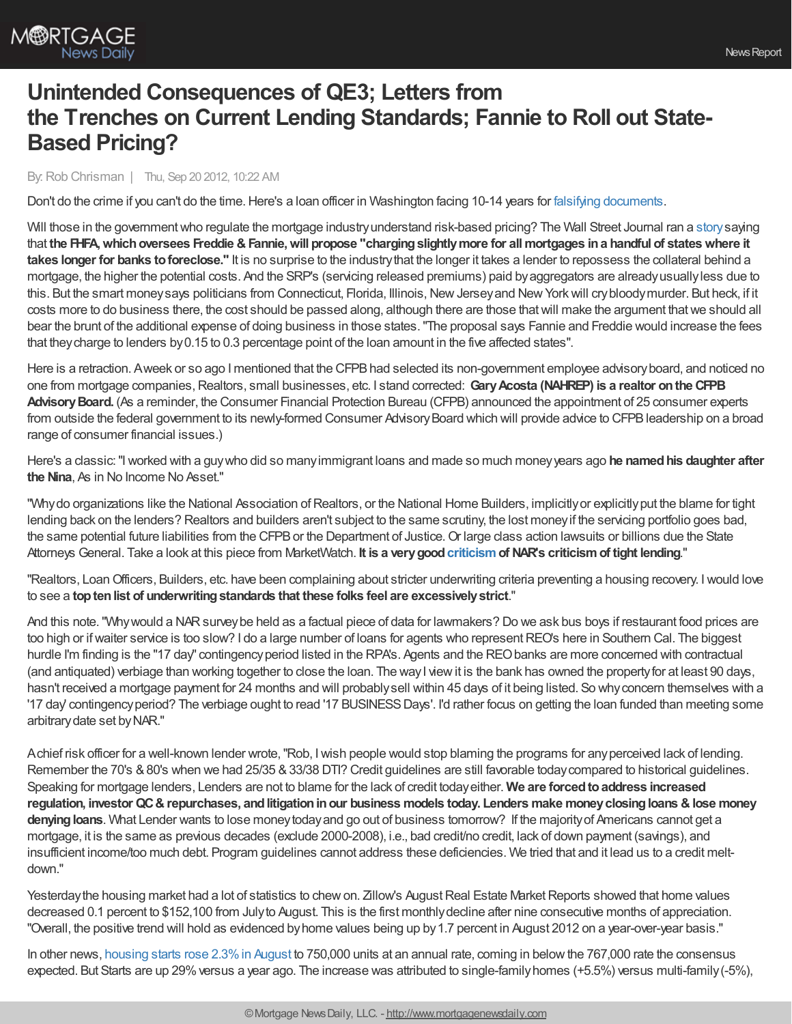

# **Unintended Consequences of QE3; Letters from the Trenches on Current Lending Standards; Fannie to Roll out State-Based Pricing?**

### By:Rob Chrisman | Thu, Sep 20 2012, 10:22 AM

Don't do the crime if you can't do the time. Here's a loan officer in Washington facing 10-14 years for falsifying [documents](http://www.thenewstribune.com/2012/09/18/2301092/ex-pierce-commercial-bank-vp-pleads.html).

Will those in the government who regulate the mortgage industry understand risk-based pricing? The Wall Street Journal ran a [story](http://online.wsj.com/article/SB10000872396390444165804578007012319125922.html) saying that **the FHFA,whichoversees Freddie &Fannie,will propose "chargingslightlymore for allmortgages ina handful of stateswhere it takes longer for banks toforeclose."** It is no surprise to the industrythat the longer it takes a lender to repossess the collateral behind a mortgage, the higher the potential costs. And the SRP's (servicing released premiums) paid byaggregators are alreadyusuallyless due to this. But the smart money says politicians from Connecticut, Florida, Illinois, New Jersey and New York will crybloodymurder. But heck, if it costs more to do business there, the cost should be passed along, although there are those thatwill make the argument thatwe should all bear the brunt of the additional expense of doing business in those states."The proposal says Fannie and Freddie would increase the fees that theycharge to lenders by0.15 to 0.3 percentage point of the loan amount in the five affected states".

Here is a retraction. Aweek or so ago I mentioned that the CFPB had selected its non-government employee advisory board, and noticed no one from mortgage companies,Realtors, small businesses, etc. I stand corrected: **GaryAcosta (NAHREP) is a realtor onthe CFPB** Advisory Board. (As a reminder, the Consumer Financial Protection Bureau (CFPB) announced the appointment of 25 consumer experts from outside the federal government to its newly-formed Consumer Advisory Board which will provide advice to CFPB leadership on a broad range of consumer financial issues.)

Here's a classic:"Iworked with a guywho did so manyimmigrant loans and made so much moneyyears ago **he namedhis daughter after the Nina**, As in No Income No Asset."

"Why do organizations like the National Association of Realtors, or the National Home Builders, implicitly or explicitly put the blame for tight lending back on the lenders? Realtors and builders aren't subject to the same scrutiny, the lost moneyif the servicing portfolio goes bad, the same potential future liabilities from the CFPB or the Department of Justice. Or large class action lawsuits or billions due the State Attorneys General. Take a look at this piece from MarketWatch. **It is a verygood[criticism](http://www.marketwatch.com/story/realtors-choose-moaning-over-action-on-tight-loans-2012-09-17)of NAR's criticismof tight lending**."

"Realtors, LoanOfficers, Builders, etc. have been complaining about stricter underwriting criteria preventing a housing recovery. Iwould love to see a **toptenlist of underwritingstandards that these folks feel are excessivelystrict**."

And this note. "Why would a NAR survey be held as a factual piece of data for lawmakers? Do we ask bus boys if restaurant food prices are too high or if waiter service is too slow? I do a large number of loans for agents who represent REO's here in Southern Cal. The biggest hurdle I'm finding is the "17 day" contingency period listed in the RPA's. Agents and the REO banks are more concerned with contractual (and antiquated) verbiage than working together to close the loan. The wayI viewit is the bank has owned the propertyfor at least 90 days, hasn't received a mortgage payment for 24 months and will probablysell within 45 days of it being listed. So whyconcern themselves with a '17 day contingency period? The verbiage ought to read '17 BUSINESS Days'. I'd rather focus on getting the loan funded than meeting some arbitrarydate set byNAR."

Achief risk officer for a well-known lender wrote,"Rob, Iwish people would stop blaming the programs for anyperceived lack of lending. Remember the 70's & 80's when we had 25/35 & 33/38 DTI? Credit guidelines are still favorable today compared to historical guidelines. Speaking for mortgage lenders, Lenders are not to blame for the lack of credit todayeither. **We are forcedtoaddress increased regulation, investor QC&repurchases, andlitigationinour business models today. Lenders make moneyclosingloans &lose money** denying loans. What Lender wants to lose money today and go out of business tomorrow? If the majority of Americans cannot get a mortgage, it is the same as previous decades (exclude 2000-2008), i.e., bad credit/no credit, lack of down payment (savings), and insufficient income/too much debt. Program guidelines cannot address these deficiencies. We tried that and it lead us to a credit meltdown."

Yesterday the housing market had a lot of statistics to chew on. Zillow's August Real Estate Market Reports showed that home values decreased 0.1 percent to \$152,100 from Julyto August. This is the first monthlydecline after nine consecutive months of appreciation. "Overall, the positive trend will hold as evidenced byhome values being up by1.7 percent in August 2012 on a year-over-year basis."

In other news, [housing](http://www.mortgagenewsdaily.com/09192012_housing_starts_permits.asp) starts rose 2.3% in August to 750,000 units at an annual rate, coming in below the 767,000 rate the consensus expected. But Starts are up 29% versus a year ago. The increase was attributed to single-family homes (+5.5%) versus multi-family (-5%),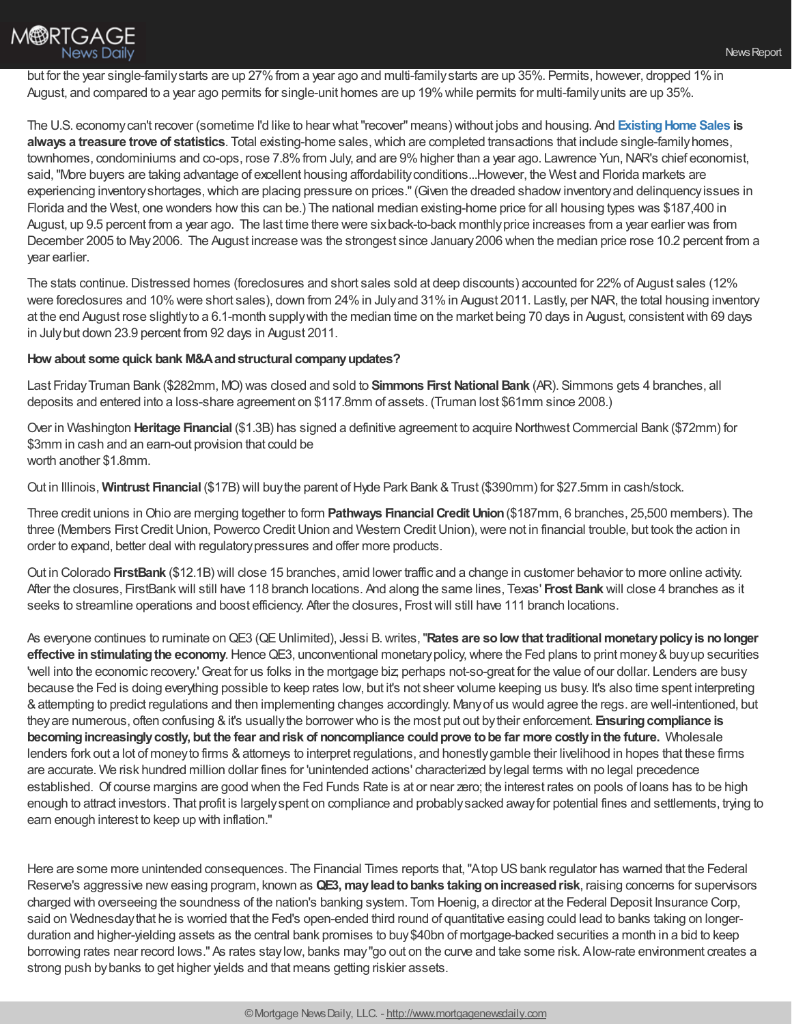

but for the year single-family starts are up 27% from a year ago and multi-family starts are up 35%. Permits, however, dropped 1% in August, and compared to a year ago permits for single-unit homes are up 19%while permits for multi-familyunits are up 35%.

The U.S. economycan't recover (sometime I'd like to hear what"recover" means) without jobs and housing. And **[ExistingHome](http://www.mortgagenewsdaily.com/09192012_existing_home_sales.asp) Sales is** always a treasure trove of statistics. Total existing-home sales, which are completed transactions that include single-family homes, townhomes, condominiums and co-ops, rose 7.8% from July, and are 9% higher than a year ago. Lawrence Yun, NAR's chief economist, said, "More buyers are taking advantage of excellent housing affordability conditions...However, the West and Florida markets are experiencing inventoryshortages,which are placing pressure on prices."(Given the dreaded shadowinventoryand delinquencyissues in Florida and the West, one wonders howthis can be.) The national median existing-home price for all housing types was \$187,400 in August, up 9.5 percent from a year ago. The last time there were sixback-to-back monthlyprice increases from a year earlier was from December 2005 to May2006. The August increase was the strongest since January2006 when the median price rose 10.2 percent from a year earlier.

The stats continue. Distressed homes (foreclosures and short sales sold at deep discounts) accounted for 22% of August sales (12% were foreclosures and 10% were short sales), down from 24% in Julyand 31% in August 2011. Lastly, per NAR, the total housing inventory at the end August rose slightlyto a 6.1-month supplywith the median time on the market being 70 days in August, consistentwith 69 days in Julybut down 23.9 percent from 92 days in August 2011.

#### **How about some quick bank M&Aandstructural companyupdates?**

Last FridayTruman Bank (\$282mm, MO) was closed and sold to **Simmons First NationalBank** (AR). Simmons gets 4 branches, all deposits and entered into a loss-share agreement on \$117.8mm of assets. (Truman lost \$61mm since 2008.)

Over in Washington **Heritage Financial** (\$1.3B) has signed a definitive agreement to acquire NorthwestCommercial Bank (\$72mm) for \$3mm in cash and an earn-out provision that could be worth another \$1.8mm.

Out in Illinois, **Wintrust Financial** (\$17B) will buythe parent ofHyde Park Bank &Trust (\$390mm) for \$27.5mm in cash/stock.

Three credit unions inOhio are merging together to form **Pathways FinancialCredit Union**(\$187mm, 6 branches, 25,500 members). The three (Members First Credit Union, Powerco Credit Union and Western Credit Union), were not in financial trouble, but took the action in order to expand, better deal with regulatorypressures and offer more products.

Out in Colorado **FirstBank** (\$12.1B) will close 15 branches, amid lower traffic and a change in customer behavior to more online activity. After the closures, FirstBankwill still have 118 branch locations. And along the same lines, Texas' **Frost Bank** will close 4 branches as it seeks to streamline operations and boost efficiency. After the closures, Frostwill still have 111 branch locations.

As everyone continues to ruminate onQE3 (QEUnlimited), Jessi B.writes,"**Rates are solow that traditionalmonetarypolicyis nolonger effective in stimulating the economy**. Hence QE3, unconventional monetary policy, where the Fed plans to print money & buy up securities 'well into the economic recovery.'Great for us folks in the mortgage biz; perhaps not-so-great for the value of our dollar. Lenders are busy because the Fed is doing everything possible to keep rates low, but it's not sheer volume keeping us busy. It's also time spent interpreting &attempting to predict regulations and then implementing changes accordingly. Manyof us would agree the regs. are well-intentioned, but theyare numerous, often confusing &it's usuallythe borrower who is the most put out bytheir enforcement. **Ensuringcompliance is becomingincreasinglycostly, but the fear andrisk of noncompliance couldprove tobe far more costlyinthe future.** Wholesale lenders fork out a lot of money to firms & attorneys to interpret regulations, and honestly gamble their livelihood in hopes that these firms are accurate. We risk hundred million dollar fines for 'unintended actions' characterized bylegal terms with no legal precedence established. Of course margins are good when the Fed Funds Rate is at or near zero; the interest rates on pools of loans has to be high enough to attract investors. That profit is largelyspent on compliance and probablysacked awayfor potential fines and settlements, trying to earn enough interest to keep up with inflation."

Here are some more unintended consequences. The Financial Times reports that, "Atop US bank regulator has warned that the Federal Reserve's aggressive new easing program, known as **QE3, may lead to banks taking on increased risk**, raising concerns for supervisors charged with overseeing the soundness of the nation's banking system. Tom Hoenig, a director at the Federal Deposit Insurance Corp, said on Wednesdaythat he is worried that the Fed's open-ended third round of quantitative easing could lead to banks taking on longerduration and higher-yielding assets as the central bank promises to buy\$40bn of mortgage-backed securities a month in a bid to keep borrowing rates near record lows." As rates staylow, banks may"go out on the curve and take some risk. Alow-rate environment creates a strong push bybanks to get higher yields and that means getting riskier assets.